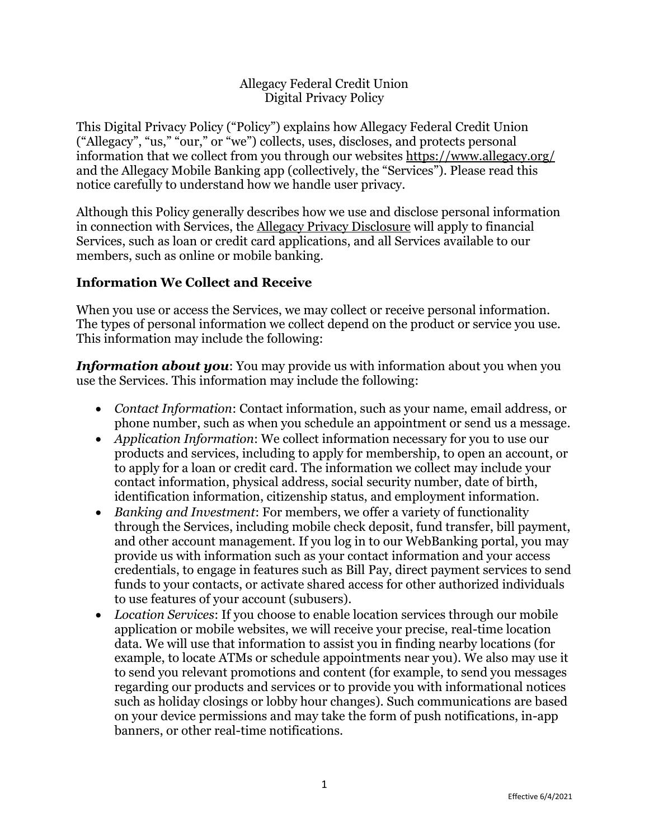### Allegacy Federal Credit Union Digital Privacy Policy

This Digital Privacy Policy ("Policy") explains how Allegacy Federal Credit Union ("Allegacy", "us," "our," or "we") collects, uses, discloses, and protects personal information that we collect from you through our websites<https://www.allegacy.org/> and the Allegacy Mobile Banking app (collectively, the "Services"). Please read this notice carefully to understand how we handle user privacy.

Although this Policy generally describes how we use and disclose personal information in connection with Services, the [Allegacy Privacy Disclosure](https://www.allegacy.org/files/Privacy-Disclosure.pdf) will apply to financial Services, such as loan or credit card applications, and all Services available to our members, such as online or mobile banking.

### **Information We Collect and Receive**

When you use or access the Services, we may collect or receive personal information. The types of personal information we collect depend on the product or service you use. This information may include the following:

*Information about you*: You may provide us with information about you when you use the Services. This information may include the following:

- *Contact Information*: Contact information, such as your name, email address, or phone number, such as when you schedule an appointment or send us a message.
- *Application Information*: We collect information necessary for you to use our products and services, including to apply for membership, to open an account, or to apply for a loan or credit card. The information we collect may include your contact information, physical address, social security number, date of birth, identification information, citizenship status, and employment information.
- *Banking and Investment*: For members, we offer a variety of functionality through the Services, including mobile check deposit, fund transfer, bill payment, and other account management. If you log in to our WebBanking portal, you may provide us with information such as your contact information and your access credentials, to engage in features such as Bill Pay, direct payment services to send funds to your contacts, or activate shared access for other authorized individuals to use features of your account (subusers).
- *Location Services*: If you choose to enable location services through our mobile application or mobile websites, we will receive your precise, real-time location data. We will use that information to assist you in finding nearby locations (for example, to locate ATMs or schedule appointments near you). We also may use it to send you relevant promotions and content (for example, to send you messages regarding our products and services or to provide you with informational notices such as holiday closings or lobby hour changes). Such communications are based on your device permissions and may take the form of push notifications, in-app banners, or other real-time notifications.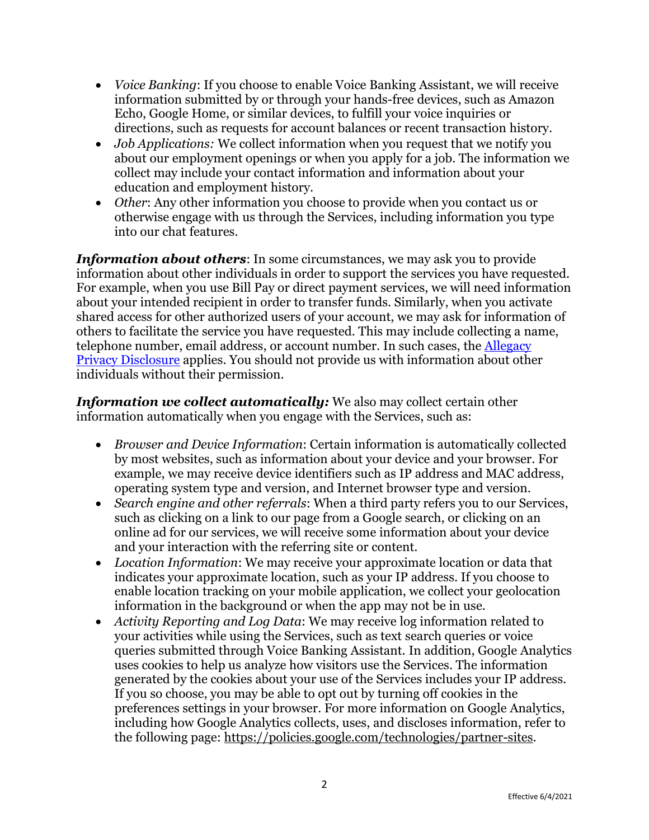- *Voice Banking*: If you choose to enable Voice Banking Assistant, we will receive information submitted by or through your hands-free devices, such as Amazon Echo, Google Home, or similar devices, to fulfill your voice inquiries or directions, such as requests for account balances or recent transaction history.
- *Job Applications:* We collect information when you request that we notify you about our employment openings or when you apply for a job. The information we collect may include your contact information and information about your education and employment history.
- *Other*: Any other information you choose to provide when you contact us or otherwise engage with us through the Services, including information you type into our chat features.

*Information about others*: In some circumstances, we may ask you to provide information about other individuals in order to support the services you have requested. For example, when you use Bill Pay or direct payment services, we will need information about your intended recipient in order to transfer funds. Similarly, when you activate shared access for other authorized users of your account, we may ask for information of others to facilitate the service you have requested. This may include collecting a name, telephone number, email address, or account number. In such cases, the [Allegacy](https://www.allegacy.org/files/Privacy-Disclosure.pdf) [Privacy Disclosure](https://www.allegacy.org/files/Privacy-Disclosure.pdf) applies. You should not provide us with information about other individuals without their permission.

*Information we collect automatically:* We also may collect certain other information automatically when you engage with the Services, such as:

- *Browser and Device Information*: Certain information is automatically collected by most websites, such as information about your device and your browser. For example, we may receive device identifiers such as IP address and MAC address, operating system type and version, and Internet browser type and version.
- *Search engine and other referrals*: When a third party refers you to our Services, such as clicking on a link to our page from a Google search, or clicking on an online ad for our services, we will receive some information about your device and your interaction with the referring site or content.
- *Location Information*: We may receive your approximate location or data that indicates your approximate location, such as your IP address. If you choose to enable location tracking on your mobile application, we collect your geolocation information in the background or when the app may not be in use.
- *Activity Reporting and Log Data*: We may receive log information related to your activities while using the Services, such as text search queries or voice queries submitted through Voice Banking Assistant. In addition, Google Analytics uses cookies to help us analyze how visitors use the Services. The information generated by the cookies about your use of the Services includes your IP address. If you so choose, you may be able to opt out by turning off cookies in the preferences settings in your browser*.* For more information on Google Analytics, including how Google Analytics collects, uses, and discloses information, refer to the following page: [https://policies.google.com/technologies/partner-sites.](https://policies.google.com/technologies/partner-sites)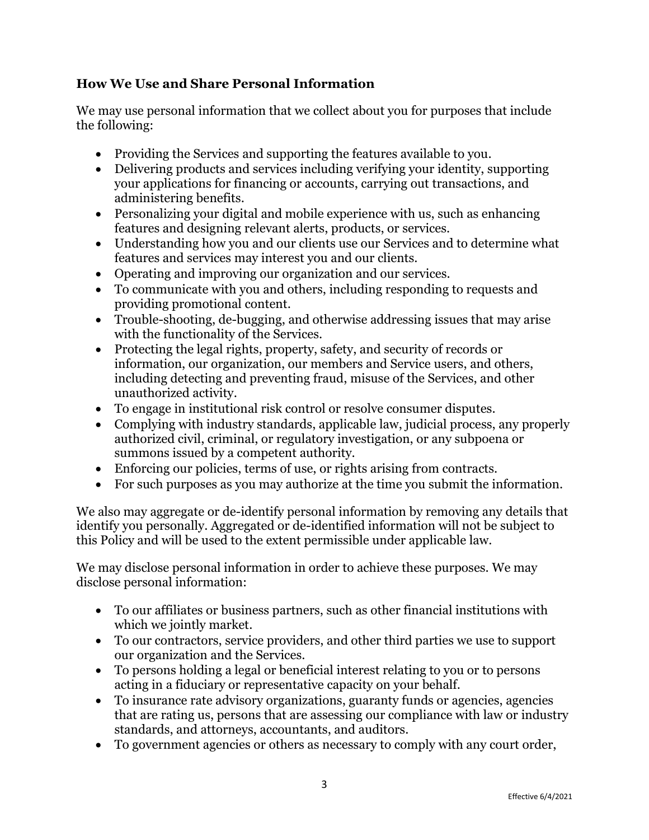# **How We Use and Share Personal Information**

We may use personal information that we collect about you for purposes that include the following:

- Providing the Services and supporting the features available to you.
- Delivering products and services including verifying your identity, supporting your applications for financing or accounts, carrying out transactions, and administering benefits.
- Personalizing your digital and mobile experience with us, such as enhancing features and designing relevant alerts, products, or services.
- Understanding how you and our clients use our Services and to determine what features and services may interest you and our clients.
- Operating and improving our organization and our services.
- To communicate with you and others, including responding to requests and providing promotional content.
- Trouble-shooting, de-bugging, and otherwise addressing issues that may arise with the functionality of the Services.
- Protecting the legal rights, property, safety, and security of records or information, our organization, our members and Service users, and others, including detecting and preventing fraud, misuse of the Services, and other unauthorized activity.
- To engage in institutional risk control or resolve consumer disputes.
- Complying with industry standards, applicable law, judicial process, any properly authorized civil, criminal, or regulatory investigation, or any subpoena or summons issued by a competent authority.
- Enforcing our policies, terms of use, or rights arising from contracts.
- For such purposes as you may authorize at the time you submit the information.

We also may aggregate or de-identify personal information by removing any details that identify you personally. Aggregated or de-identified information will not be subject to this Policy and will be used to the extent permissible under applicable law.

We may disclose personal information in order to achieve these purposes. We may disclose personal information:

- To our affiliates or business partners, such as other financial institutions with which we jointly market.
- To our contractors, service providers, and other third parties we use to support our organization and the Services.
- To persons holding a legal or beneficial interest relating to you or to persons acting in a fiduciary or representative capacity on your behalf.
- To insurance rate advisory organizations, guaranty funds or agencies, agencies that are rating us, persons that are assessing our compliance with law or industry standards, and attorneys, accountants, and auditors.
- To government agencies or others as necessary to comply with any court order,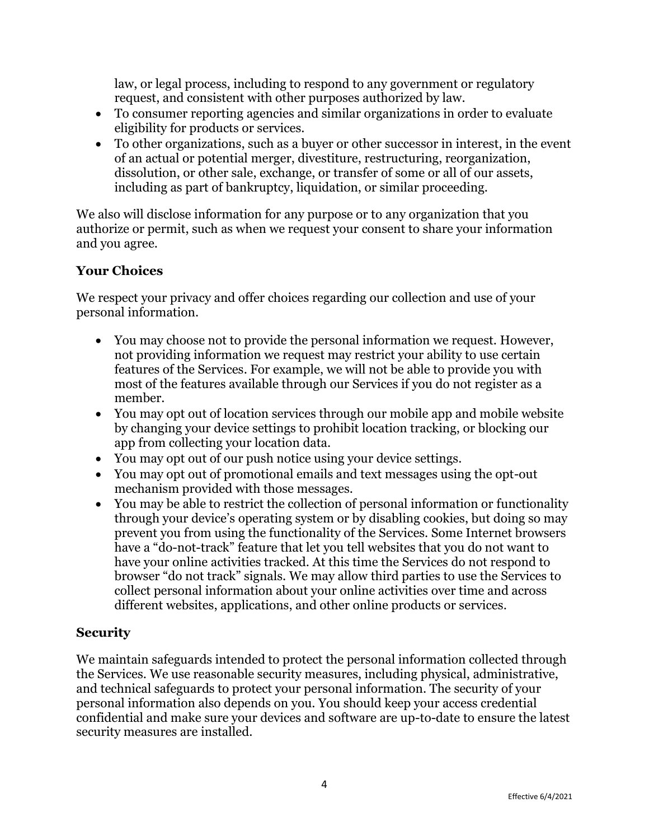law, or legal process, including to respond to any government or regulatory request, and consistent with other purposes authorized by law.

- To consumer reporting agencies and similar organizations in order to evaluate eligibility for products or services.
- To other organizations, such as a buyer or other successor in interest, in the event of an actual or potential merger, divestiture, restructuring, reorganization, dissolution, or other sale, exchange, or transfer of some or all of our assets, including as part of bankruptcy, liquidation, or similar proceeding.

We also will disclose information for any purpose or to any organization that you authorize or permit, such as when we request your consent to share your information and you agree.

# **Your Choices**

We respect your privacy and offer choices regarding our collection and use of your personal information.

- You may choose not to provide the personal information we request. However, not providing information we request may restrict your ability to use certain features of the Services. For example, we will not be able to provide you with most of the features available through our Services if you do not register as a member.
- You may opt out of location services through our mobile app and mobile website by changing your device settings to prohibit location tracking, or blocking our app from collecting your location data.
- You may opt out of our push notice using your device settings.
- You may opt out of promotional emails and text messages using the opt-out mechanism provided with those messages.
- You may be able to restrict the collection of personal information or functionality through your device's operating system or by disabling cookies, but doing so may prevent you from using the functionality of the Services. Some Internet browsers have a "do-not-track" feature that let you tell websites that you do not want to have your online activities tracked. At this time the Services do not respond to browser "do not track" signals. We may allow third parties to use the Services to collect personal information about your online activities over time and across different websites, applications, and other online products or services.

## **Security**

We maintain safeguards intended to protect the personal information collected through the Services. We use reasonable security measures, including physical, administrative, and technical safeguards to protect your personal information. The security of your personal information also depends on you. You should keep your access credential confidential and make sure your devices and software are up-to-date to ensure the latest security measures are installed.